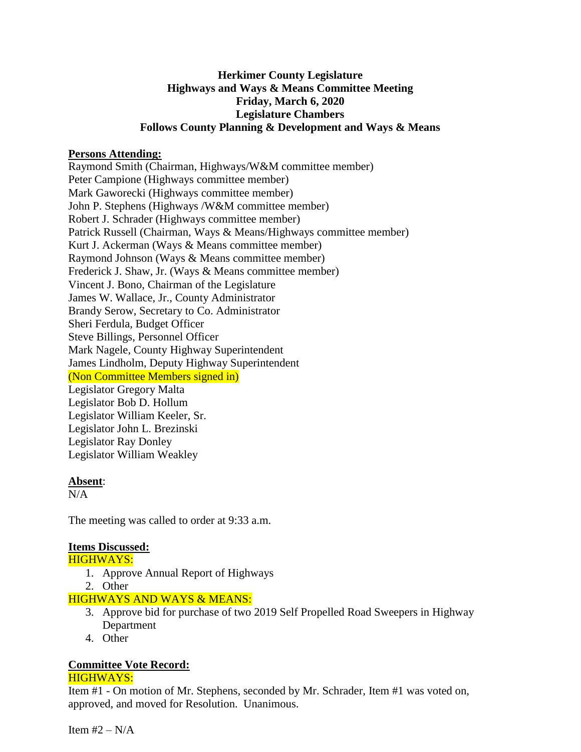## **Herkimer County Legislature Highways and Ways & Means Committee Meeting Friday, March 6, 2020 Legislature Chambers Follows County Planning & Development and Ways & Means**

#### **Persons Attending:**

Raymond Smith (Chairman, Highways/W&M committee member) Peter Campione (Highways committee member) Mark Gaworecki (Highways committee member) John P. Stephens (Highways /W&M committee member) Robert J. Schrader (Highways committee member) Patrick Russell (Chairman, Ways & Means/Highways committee member) Kurt J. Ackerman (Ways & Means committee member) Raymond Johnson (Ways & Means committee member) Frederick J. Shaw, Jr. (Ways & Means committee member) Vincent J. Bono, Chairman of the Legislature James W. Wallace, Jr., County Administrator Brandy Serow, Secretary to Co. Administrator Sheri Ferdula, Budget Officer Steve Billings, Personnel Officer Mark Nagele, County Highway Superintendent James Lindholm, Deputy Highway Superintendent (Non Committee Members signed in) Legislator Gregory Malta Legislator Bob D. Hollum Legislator William Keeler, Sr. Legislator John L. Brezinski Legislator Ray Donley Legislator William Weakley

#### **Absent**:

 $N/A$ 

The meeting was called to order at 9:33 a.m.

## **Items Discussed:**

HIGHWAYS:

- 1. Approve Annual Report of Highways
- 2. Other

## HIGHWAYS AND WAYS & MEANS:

- 3. Approve bid for purchase of two 2019 Self Propelled Road Sweepers in Highway Department
- 4. Other

# **Committee Vote Record:**

#### HIGHWAYS:

Item #1 - On motion of Mr. Stephens, seconded by Mr. Schrader, Item #1 was voted on, approved, and moved for Resolution. Unanimous.

Item  $#2 - N/A$